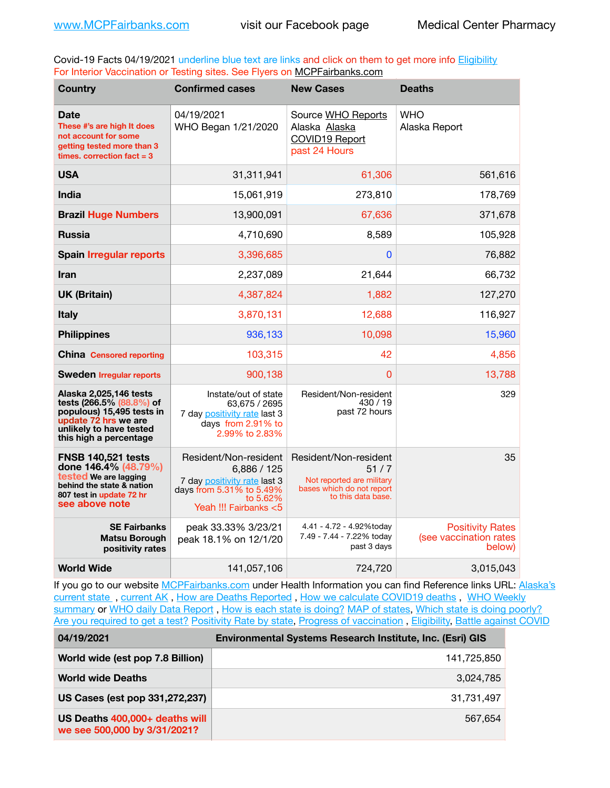Covid-19 Facts 04/19/2021 underline blue text are links and click on them to get more info **Eligibility** For Interior Vaccination or Testing sites. See Flyers on [MCPFairbanks.com](http://www.MCPFairbanks.com)

| <b>Country</b>                                                                                                                                               | <b>Confirmed cases</b>                                                                                                                | <b>New Cases</b>                                                                                              | <b>Deaths</b>                                               |
|--------------------------------------------------------------------------------------------------------------------------------------------------------------|---------------------------------------------------------------------------------------------------------------------------------------|---------------------------------------------------------------------------------------------------------------|-------------------------------------------------------------|
| <b>Date</b><br>These #'s are high It does<br>not account for some<br>getting tested more than 3<br>times, correction fact $= 3$                              | 04/19/2021<br>WHO Began 1/21/2020                                                                                                     | Source WHO Reports<br>Alaska Alaska<br>COVID19 Report<br>past 24 Hours                                        | WHO<br>Alaska Report                                        |
| <b>USA</b>                                                                                                                                                   | 31,311,941                                                                                                                            | 61,306                                                                                                        | 561,616                                                     |
| <b>India</b>                                                                                                                                                 | 15,061,919                                                                                                                            | 273,810                                                                                                       | 178,769                                                     |
| <b>Brazil Huge Numbers</b>                                                                                                                                   | 13,900,091                                                                                                                            | 67,636                                                                                                        | 371,678                                                     |
| <b>Russia</b>                                                                                                                                                | 4,710,690                                                                                                                             | 8,589                                                                                                         | 105,928                                                     |
| <b>Spain Irregular reports</b>                                                                                                                               | 3,396,685                                                                                                                             | 0                                                                                                             | 76,882                                                      |
| Iran                                                                                                                                                         | 2,237,089                                                                                                                             | 21,644                                                                                                        | 66,732                                                      |
| <b>UK (Britain)</b>                                                                                                                                          | 4,387,824                                                                                                                             | 1,882                                                                                                         | 127,270                                                     |
| <b>Italy</b>                                                                                                                                                 | 3,870,131                                                                                                                             | 12,688                                                                                                        | 116,927                                                     |
| <b>Philippines</b>                                                                                                                                           | 936,133                                                                                                                               | 10,098                                                                                                        | 15,960                                                      |
| <b>China</b> Censored reporting                                                                                                                              | 103,315                                                                                                                               | 42                                                                                                            | 4.856                                                       |
| <b>Sweden Irregular reports</b>                                                                                                                              | 900.138                                                                                                                               | 0                                                                                                             | 13,788                                                      |
| Alaska 2,025,146 tests<br>tests (266.5% (88.8%) of<br>populous) 15,495 tests in<br>update 72 hrs we are<br>unlikely to have tested<br>this high a percentage | Instate/out of state<br>63.675 / 2695<br>7 day positivity rate last 3<br>days from 2.91% to<br>2.99% to 2.83%                         | Resident/Non-resident<br>430 / 19<br>past 72 hours                                                            | 329                                                         |
| <b>FNSB 140,521 tests</b><br>done 146.4% (48.79%)<br>tested We are lagging<br>behind the state & nation<br>807 test in update 72 hr<br>see above note        | Resident/Non-resident<br>6,886 / 125<br>7 day positivity rate last 3<br>days from 5.31% to 5.49%<br>to 5.62%<br>Yeah !!! Fairbanks <5 | Resident/Non-resident<br>51/7<br>Not reported are military<br>bases which do not report<br>to this data base. | 35                                                          |
| <b>SE Fairbanks</b><br><b>Matsu Borough</b><br>positivity rates                                                                                              | peak 33.33% 3/23/21<br>peak 18.1% on 12/1/20                                                                                          | 4.41 - 4.72 - 4.92%today<br>7.49 - 7.44 - 7.22% today<br>past 3 days                                          | <b>Positivity Rates</b><br>(see vaccination rates<br>below) |
| <b>World Wide</b>                                                                                                                                            | 141,057,106                                                                                                                           | 724,720                                                                                                       | 3,015,043                                                   |

If you go to our website [MCPFairbanks.com](http://www.MCPFairbanks.com) under Health Information you can find Reference links URL: Alaska's [current state](https://coronavirus-response-alaska-dhss.hub.arcgis.com) , [current AK](http://dhss.alaska.gov/dph/Epi/id/Pages/COVID-19/communications.aspx#cases) , [How are Deaths Reported](http://dhss.alaska.gov/dph/Epi/id/Pages/COVID-19/deathcounts.aspx) , [How we calculate COVID19 deaths](https://coronavirus-response-alaska-dhss.hub.arcgis.com/search?collection=Document&groupIds=41ccb3344ebc4bd682c74073eba21f42) , [WHO Weekly](http://www.who.int)  [summary](http://www.who.int) or [WHO daily Data Report](https://covid19.who.int/table), [How is each state is doing?](https://www.msn.com/en-us/news/us/state-by-state-coronavirus-news/ar-BB13E1PX?fbclid=IwAR0_OBJH7lSyTN3ug_MsOeFnNgB1orTa9OBgilKJ7dhnwlVvHEsptuKkj1c) [MAP of states,](https://www.nationalgeographic.com/science/graphics/graphic-tracking-coronavirus-infections-us?cmpid=org=ngp::mc=crm-email::src=ngp::cmp=editorial::add=SpecialEdition_20210305&rid=B9A6DF5992658E8E35CE023113CFEA4C) [Which state is doing poorly?](https://bestlifeonline.com/covid-outbreak-your-state/?utm_source=nsltr&utm_medium=email&utm_content=covid-outbreak-your-state&utm_campaign=launch) [Are you required to get a test?](http://dhss.alaska.gov/dph/Epi/id/SiteAssets/Pages/HumanCoV/Whattodoafteryourtest.pdf) [Positivity Rate by state](https://coronavirus.jhu.edu/testing/individual-states/alaska), Progress of vaccination, [Eligibility,](http://dhss.alaska.gov/dph/Epi/id/Pages/COVID-19/VaccineAvailability.aspx) [Battle against COVID](https://www.nationalgeographic.com/science/graphics/graphic-tracking-coronavirus-infections-us?cmpid=org=ngp::mc=crm-email::src=ngp::cmp=editorial::add=SpecialEdition_20210219&rid=B9A6DF5992658E8E35CE023113CFEA4C)

| 04/19/2021                                                     | <b>Environmental Systems Research Institute, Inc. (Esri) GIS</b> |
|----------------------------------------------------------------|------------------------------------------------------------------|
| World wide (est pop 7.8 Billion)                               | 141,725,850                                                      |
| <b>World wide Deaths</b>                                       | 3,024,785                                                        |
| US Cases (est pop 331,272,237)                                 | 31,731,497                                                       |
| US Deaths 400,000+ deaths will<br>we see 500,000 by 3/31/2021? | 567.654                                                          |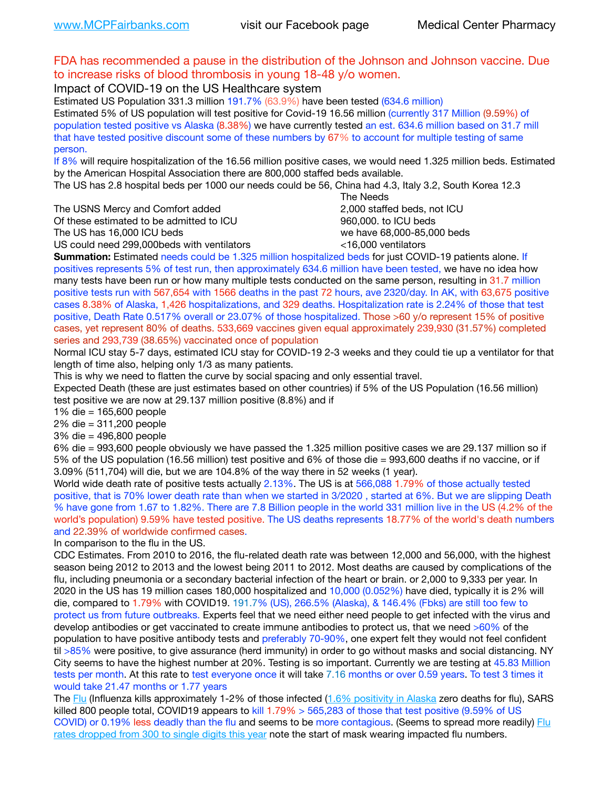## FDA has recommended a pause in the distribution of the Johnson and Johnson vaccine. Due to increase risks of blood thrombosis in young 18-48 y/o women.

Impact of COVID-19 on the US Healthcare system

Estimated US Population 331.3 million 191.7% (63.9%) have been tested (634.6 million) Estimated 5% of US population will test positive for Covid-19 16.56 million (currently 317 Million (9.59%) of population tested positive vs Alaska (8.38%) we have currently tested an est. 634.6 million based on 31.7 mill that have tested positive discount some of these numbers by 67% to account for multiple testing of same person.

If 8% will require hospitalization of the 16.56 million positive cases, we would need 1.325 million beds. Estimated by the American Hospital Association there are 800,000 staffed beds available.

The US has 2.8 hospital beds per 1000 our needs could be 56, China had 4.3, Italy 3.2, South Korea 12.3

The USNS Mercy and Comfort added 2,000 staffed beds, not ICU

Of these estimated to be admitted to ICU **860,000**, to ICU beds

 The Needs The US has 16,000 ICU beds we have 68,000-85,000 beds US could need 299,000 beds with ventilators  $\leq$ 16,000 ventilators

**Summation:** Estimated needs could be 1.325 million hospitalized beds for just COVID-19 patients alone. If

positives represents 5% of test run, then approximately 634.6 million have been tested, we have no idea how many tests have been run or how many multiple tests conducted on the same person, resulting in 31.7 million positive tests run with 567,654 with 1566 deaths in the past 72 hours, ave 2320/day. In AK, with 63,675 positive cases 8.38% of Alaska, 1,426 hospitalizations, and 329 deaths. Hospitalization rate is 2.24% of those that test positive, Death Rate 0.517% overall or 23.07% of those hospitalized. Those >60 y/o represent 15% of positive cases, yet represent 80% of deaths. 533,669 vaccines given equal approximately 239,930 (31.57%) completed series and 293,739 (38.65%) vaccinated once of population

Normal ICU stay 5-7 days, estimated ICU stay for COVID-19 2-3 weeks and they could tie up a ventilator for that length of time also, helping only 1/3 as many patients.

This is why we need to flatten the curve by social spacing and only essential travel.

Expected Death (these are just estimates based on other countries) if 5% of the US Population (16.56 million) test positive we are now at 29.137 million positive (8.8%) and if

1% die = 165,600 people

2% die = 311,200 people

3% die = 496,800 people

6% die = 993,600 people obviously we have passed the 1.325 million positive cases we are 29.137 million so if 5% of the US population (16.56 million) test positive and 6% of those die = 993,600 deaths if no vaccine, or if 3.09% (511,704) will die, but we are 104.8% of the way there in 52 weeks (1 year).

World wide death rate of positive tests actually 2.13%. The US is at 566,088 1.79% of those actually tested positive, that is 70% lower death rate than when we started in 3/2020 , started at 6%. But we are slipping Death % have gone from 1.67 to 1.82%. There are 7.8 Billion people in the world 331 million live in the US (4.2% of the world's population) 9.59% have tested positive. The US deaths represents 18.77% of the world's death numbers and 22.39% of worldwide confirmed cases.

In comparison to the flu in the US.

CDC Estimates. From 2010 to 2016, the flu-related death rate was between 12,000 and 56,000, with the highest season being 2012 to 2013 and the lowest being 2011 to 2012. Most deaths are caused by complications of the flu, including pneumonia or a secondary bacterial infection of the heart or brain. or 2,000 to 9,333 per year. In 2020 in the US has 19 million cases 180,000 hospitalized and 10,000 (0.052%) have died, typically it is 2% will die, compared to 1.79% with COVID19. 191.7% (US), 266.5% (Alaska), & 146.4% (Fbks) are still too few to protect us from future outbreaks. Experts feel that we need either need people to get infected with the virus and develop antibodies or get vaccinated to create immune antibodies to protect us, that we need >60% of the population to have positive antibody tests and preferably 70-90%, one expert felt they would not feel confident til >85% were positive, to give assurance (herd immunity) in order to go without masks and social distancing. NY City seems to have the highest number at 20%. Testing is so important. Currently we are testing at 45.83 Million tests per month. At this rate to test everyone once it will take 7.16 months or over 0.59 years. To test 3 times it would take 21.47 months or 1.77 years

The [Flu](https://lnks.gd/l/eyJhbGciOiJIUzI1NiJ9.eyJidWxsZXRpbl9saW5rX2lkIjoxMDMsInVyaSI6ImJwMjpjbGljayIsImJ1bGxldGluX2lkIjoiMjAyMTAyMjYuMzYwNDA3NTEiLCJ1cmwiOiJodHRwczovL3d3dy5jZGMuZ292L2ZsdS93ZWVrbHkvb3ZlcnZpZXcuaHRtIn0.ePMA_hsZ-pTnhWSyg1gHvHWYTu2XceVOt0JejxvP1WE/s/500544915/br/98428119752-l) (Influenza kills approximately 1-2% of those infected ([1.6% positivity in Alaska](http://dhss.alaska.gov/dph/Epi/id/SiteAssets/Pages/influenza/trends/Snapshot.pdf) zero deaths for flu), SARS killed 800 people total, COVID19 appears to kill 1.79% > 565,283 of those that test positive (9.59% of US COVID) or 0.19% less deadly than the flu and seems to be more contagious. (Seems to spread more readily) Flu [rates dropped from 300 to single digits this year](https://lnks.gd/l/eyJhbGciOiJIUzI1NiJ9.eyJidWxsZXRpbl9saW5rX2lkIjoxMDEsInVyaSI6ImJwMjpjbGljayIsImJ1bGxldGluX2lkIjoiMjAyMTAyMjYuMzYwNDA3NTEiLCJ1cmwiOiJodHRwOi8vZGhzcy5hbGFza2EuZ292L2RwaC9FcGkvaWQvUGFnZXMvaW5mbHVlbnphL2ZsdWluZm8uYXNweCJ9.oOe3nt2fww6XpsNhb4FZfmtPfPa-irGaldpkURBJhSo/s/500544915/br/98428119752-l) note the start of mask wearing impacted flu numbers.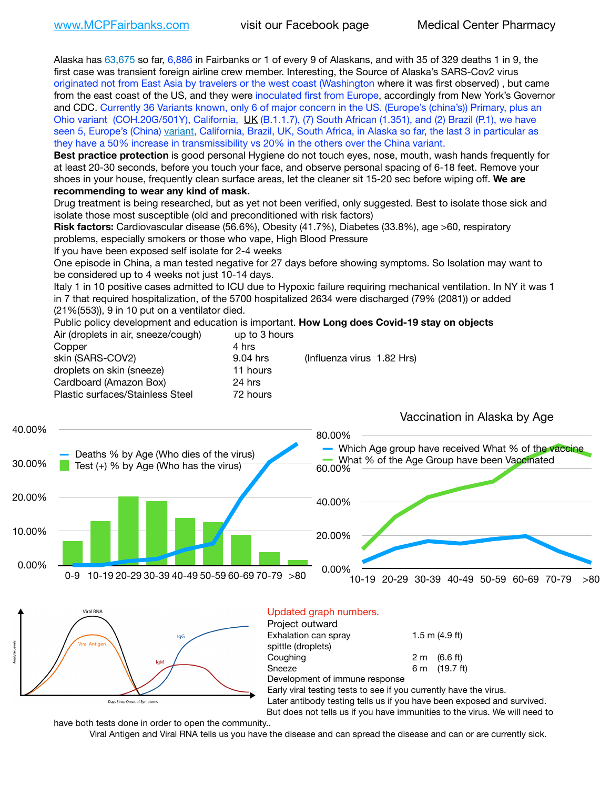Alaska has 63,675 so far, 6,886 in Fairbanks or 1 of every 9 of Alaskans, and with 35 of 329 deaths 1 in 9, the first case was transient foreign airline crew member. Interesting, the Source of Alaska's SARS-Cov2 virus originated not from East Asia by travelers or the west coast (Washington where it was first observed) , but came from the east coast of the US, and they were inoculated first from Europe, accordingly from New York's Governor and CDC. Currently 36 Variants known, only 6 of major concern in the US. (Europe's (china's)) Primary, plus an Ohio variant (COH.20G/501Y), California, [UK](https://www.cdc.gov/coronavirus/2019-ncov/transmission/variant-cases.html) (B.1.1.7), (7) South African (1.351), and (2) Brazil (P.1), we have seen 5, Europe's (China) [variant,](https://www.webmd.com/lung/news/20210318/cdc-who-create-threat-levels-for-covid-variants?ecd=wnl_cvd_031921&ctr=wnl-cvd-031921&mb=kYbf7DsHb7YGjh/1RUkcAW0T6iorImAU1TDZh18RYs0=_Support_titleLink_2) California, Brazil, UK, South Africa, in Alaska so far, the last 3 in particular as they have a 50% increase in transmissibility vs 20% in the others over the China variant.

**Best practice protection** is good personal Hygiene do not touch eyes, nose, mouth, wash hands frequently for at least 20-30 seconds, before you touch your face, and observe personal spacing of 6-18 feet. Remove your shoes in your house, frequently clean surface areas, let the cleaner sit 15-20 sec before wiping off. **We are recommending to wear any kind of mask.**

Drug treatment is being researched, but as yet not been verified, only suggested. Best to isolate those sick and isolate those most susceptible (old and preconditioned with risk factors)

**Risk factors:** Cardiovascular disease (56.6%), Obesity (41.7%), Diabetes (33.8%), age >60, respiratory problems, especially smokers or those who vape, High Blood Pressure

If you have been exposed self isolate for 2-4 weeks

One episode in China, a man tested negative for 27 days before showing symptoms. So Isolation may want to be considered up to 4 weeks not just 10-14 days.

Italy 1 in 10 positive cases admitted to ICU due to Hypoxic failure requiring mechanical ventilation. In NY it was 1 in 7 that required hospitalization, of the 5700 hospitalized 2634 were discharged (79% (2081)) or added (21%(553)), 9 in 10 put on a ventilator died.

Public policy development and education is important. **How Long does Covid-19 stay on objects**  $\Delta$ ir (dropleto in air, sneeze/cough) up to 3 hours

| All (dioplets in all, sheeze/cough) | ap to 3 Hours |                            |
|-------------------------------------|---------------|----------------------------|
| Copper                              | 4 hrs         |                            |
| skin (SARS-COV2)                    | 9.04 hrs      | (Influenza virus 1.82 Hrs) |
| droplets on skin (sneeze)           | 11 hours      |                            |
| Cardboard (Amazon Box)              | 24 hrs        |                            |
| Plastic surfaces/Stainless Steel    | 72 hours      |                            |
|                                     |               |                            |





#### Updated graph numbers. Project outward

| 1.5 m $(4.9$ ft)       |
|------------------------|
|                        |
| $2 \text{ m}$ (6.6 ft) |
| 6 m (19.7 ft)          |
|                        |
|                        |

Early viral testing tests to see if you currently have the virus.

Later antibody testing tells us if you have been exposed and survived.

But does not tells us if you have immunities to the virus. We will need to

have both tests done in order to open the community..

Viral Antigen and Viral RNA tells us you have the disease and can spread the disease and can or are currently sick.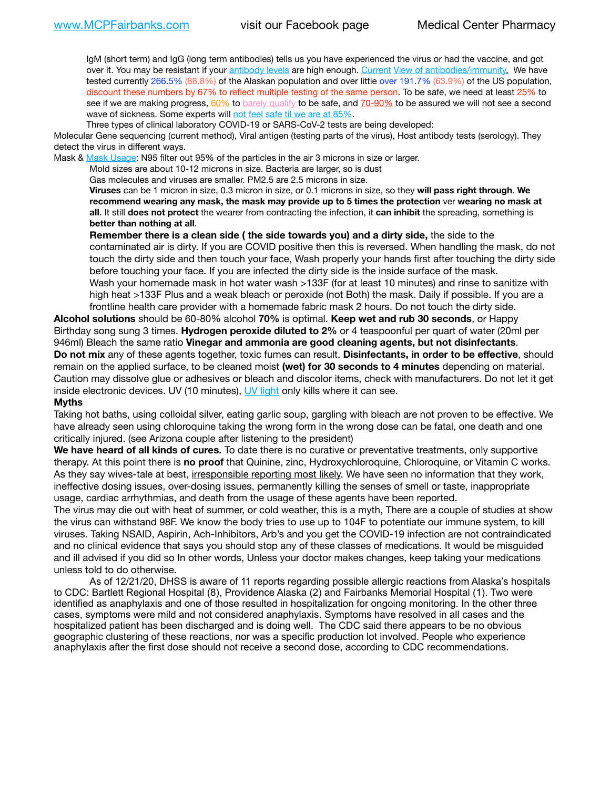IgM (short term) and IgG (long term antibodies) tells us you have experienced the virus or had the vaccine, and got over it. You may be resistant if your [antibody levels](https://www.cdc.gov/coronavirus/2019-ncov/lab/resources/antibody-tests.html) are high enough. [Current](https://l.facebook.com/l.php?u=https://www.itv.com/news/2020-10-26/covid-19-antibody-levels-reduce-over-time-study-finds?fbclid=IwAR3Dapzh1qIH1EIOdUQI2y8THf7jfA4KBCaJz8Qg-8xe1YsrR4nsAHDIXSY&h=AT30nut8pkqp0heVuz5W2rT2WFFm-2Ab52BsJxZZCNlGsX58IpPkuVEPULbIUV_M16MAukx1Kwb657DPXxsgDN1rpOQ4gqBtQsmVYiWpnHPJo2RQsU6CPMd14lgLnQnFWxfVi6zvmw&__tn__=-UK-R&c%5B0%5D=AT1GaRAfR_nGAyqcn7TI1-PpvqOqEKXHnz6TDWvRStMnOSH7boQDvTiwTOc6VId9UES6LKiOmm2m88wKCoolkJyOFvakt2Z1Mw8toYWGGoWW23r0MNVBl7cYJXB_UOvGklNHaNnaNr1_S7NhT3BSykNOBg) [View of antibodies/immunity](https://www.livescience.com/antibodies.html)[.](https://www.itv.com/news/2020-10-26/covid-19-antibody-levels-reduce-over-time-study-finds) We have tested currently 266.5% (88.8%) of the Alaskan population and over little over 191.7% (63.9%) of the US population, discount these numbers by 67% to reflect multiple testing of the same person. To be safe, we need at least 25% to see if we are making progress, [60%](https://www.jhsph.edu/covid-19/articles/achieving-herd-immunity-with-covid19.html) to [barely qualify](https://www.nature.com/articles/d41586-020-02948-4) to be safe, and [70-90%](https://www.mayoclinic.org/herd-immunity-and-coronavirus/art-20486808) to be assured we will not see a second wave of sickness. Some experts will [not feel safe til we are at 85%.](https://www.bannerhealth.com/healthcareblog/teach-me/what-is-herd-immunity)

Three types of clinical laboratory COVID-19 or SARS-CoV-2 tests are being developed:

Molecular Gene sequencing (current method), Viral antigen (testing parts of the virus), Host antibody tests (serology). They detect the virus in different ways.

Mask & [Mask Usage:](https://www.nationalgeographic.com/history/2020/03/how-cities-flattened-curve-1918-spanish-flu-pandemic-coronavirus/) N95 filter out 95% of the particles in the air 3 microns in size or larger.

Mold sizes are about 10-12 microns in size. Bacteria are larger, so is dust

Gas molecules and viruses are smaller. PM2.5 are 2.5 microns in size.

**Viruses** can be 1 micron in size, 0.3 micron in size, or 0.1 microns in size, so they **will pass right through**. **We recommend wearing any mask, the mask may provide up to 5 times the protection** ver **wearing no mask at all**. It still **does not protect** the wearer from contracting the infection, it **can inhibit** the spreading, something is **better than nothing at all**.

**Remember there is a clean side ( the side towards you) and a dirty side,** the side to the contaminated air is dirty. If you are COVID positive then this is reversed. When handling the mask, do not touch the dirty side and then touch your face, Wash properly your hands first after touching the dirty side before touching your face. If you are infected the dirty side is the inside surface of the mask. Wash your homemade mask in hot water wash >133F (for at least 10 minutes) and rinse to sanitize with high heat >133F Plus and a weak bleach or peroxide (not Both) the mask. Daily if possible. If you are a frontline health care provider with a homemade fabric mask 2 hours. Do not touch the dirty side.

**Alcohol solutions** should be 60-80% alcohol **70%** is optimal. **Keep wet and rub 30 seconds**, or Happy Birthday song sung 3 times. **Hydrogen peroxide diluted to 2%** or 4 teaspoonful per quart of water (20ml per 946ml) Bleach the same ratio **Vinegar and ammonia are good cleaning agents, but not disinfectants**. **Do not mix** any of these agents together, toxic fumes can result. **Disinfectants, in order to be effective**, should remain on the applied surface, to be cleaned moist **(wet) for 30 seconds to 4 minutes** depending on material. Caution may dissolve glue or adhesives or bleach and discolor items, check with manufacturers. Do not let it get inside electronic devices. UV (10 minutes), [UV light](http://www.docreviews.me/best-uv-boxes-2020/?fbclid=IwAR3bvFtXB48OoBBSvYvTEnKuHNPbipxM6jUo82QUSw9wckxjC7wwRZWabGw) only kills where it can see.

#### **Myths**

Taking hot baths, using colloidal silver, eating garlic soup, gargling with bleach are not proven to be effective. We have already seen using chloroquine taking the wrong form in the wrong dose can be fatal, one death and one critically injured. (see Arizona couple after listening to the president)

**We have heard of all kinds of cures.** To date there is no curative or preventative treatments, only supportive therapy. At this point there is **no proof** that Quinine, zinc, Hydroxychloroquine, Chloroquine, or Vitamin C works. As they say wives-tale at best, irresponsible reporting most likely. We have seen no information that they work, ineffective dosing issues, over-dosing issues, permanently killing the senses of smell or taste, inappropriate usage, cardiac arrhythmias, and death from the usage of these agents have been reported.

The virus may die out with heat of summer, or cold weather, this is a myth, There are a couple of studies at show the virus can withstand 98F. We know the body tries to use up to 104F to potentiate our immune system, to kill viruses. Taking NSAID, Aspirin, Ach-Inhibitors, Arb's and you get the COVID-19 infection are not contraindicated and no clinical evidence that says you should stop any of these classes of medications. It would be misguided and ill advised if you did so In other words, Unless your doctor makes changes, keep taking your medications unless told to do otherwise.

As of 12/21/20, DHSS is aware of 11 reports regarding possible allergic reactions from Alaska's hospitals to CDC: Bartlett Regional Hospital (8), Providence Alaska (2) and Fairbanks Memorial Hospital (1). Two were identified as anaphylaxis and one of those resulted in hospitalization for ongoing monitoring. In the other three cases, symptoms were mild and not considered anaphylaxis. Symptoms have resolved in all cases and the hospitalized patient has been discharged and is doing well. The CDC said there appears to be no obvious geographic clustering of these reactions, nor was a specific production lot involved. People who experience anaphylaxis after the first dose should not receive a second dose, according to CDC recommendations.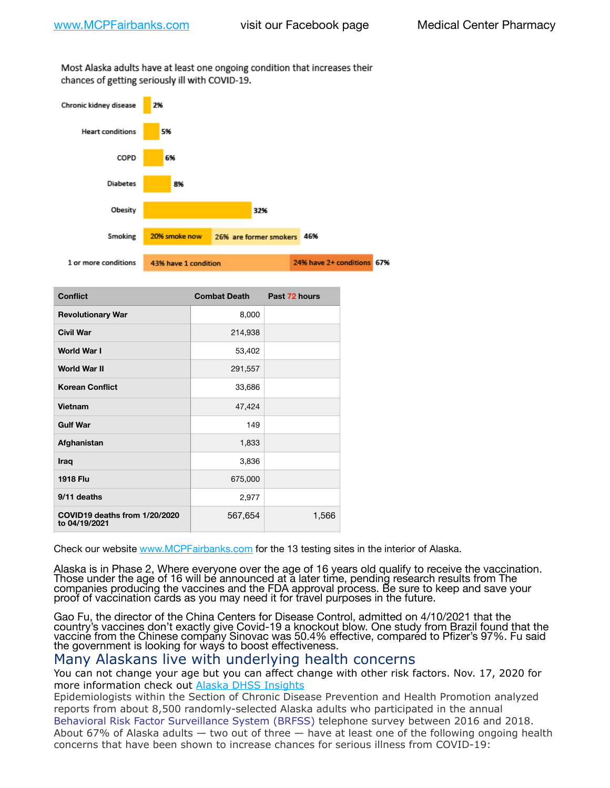Most Alaska adults have at least one ongoing condition that increases their chances of getting seriously ill with COVID-19.



| <b>Conflict</b>                                | <b>Combat Death</b> | Past 72 hours |
|------------------------------------------------|---------------------|---------------|
| <b>Revolutionary War</b>                       | 8,000               |               |
| <b>Civil War</b>                               | 214,938             |               |
| <b>World War I</b>                             | 53,402              |               |
| <b>World War II</b>                            | 291,557             |               |
| <b>Korean Conflict</b>                         | 33,686              |               |
| Vietnam                                        | 47,424              |               |
| <b>Gulf War</b>                                | 149                 |               |
| Afghanistan                                    | 1,833               |               |
| Iraq                                           | 3,836               |               |
| <b>1918 Flu</b>                                | 675,000             |               |
| 9/11 deaths                                    | 2,977               |               |
| COVID19 deaths from 1/20/2020<br>to 04/19/2021 | 567,654             | 1,566         |

Check our website [www.MCPFairbanks.com](http://www.MCPFairbanks.com) for the 13 testing sites in the interior of Alaska.

Alaska is in Phase 2, Where everyone over the age of 16 years old qualify to receive the vaccination. Those under the age of 16 will be announced at a later time, pending research results from The companies producing the vaccines and the FDA approval process. Be sure to keep and save your proof of vaccination cards as you may need it for travel purposes in the future.

Gao Fu, the director of the China Centers for Disease Control, admitted on 4/10/2021 that the country's vaccines don't exactly give Covid-19 a knockout blow. One study from Brazil found that the vaccine from the Chinese company Sinovac was 50.4% effective, compared to Pfizer's 97%. Fu said the government is looking for ways to boost effectiveness.

# Many Alaskans live with underlying health concerns

You can not change your age but you can affect change with other risk factors. Nov. 17, 2020 for more information check out [Alaska DHSS Insights](http://dhss.alaska.gov/dph/Epi/id/Pages/COVID-19/blog/20201117.aspx)

Epidemiologists within the Section of Chronic Disease Prevention and Health Promotion analyzed reports from about 8,500 randomly-selected Alaska adults who participated in the annual [Behavioral Risk Factor Surveillance System \(BRFSS\)](http://dhss.alaska.gov/dph/Chronic/Pages/brfss/default.aspx) telephone survey between 2016 and 2018. About 67% of Alaska adults — two out of three — have at least one of the following ongoing health concerns that have been shown to increase chances for serious illness from COVID-19: